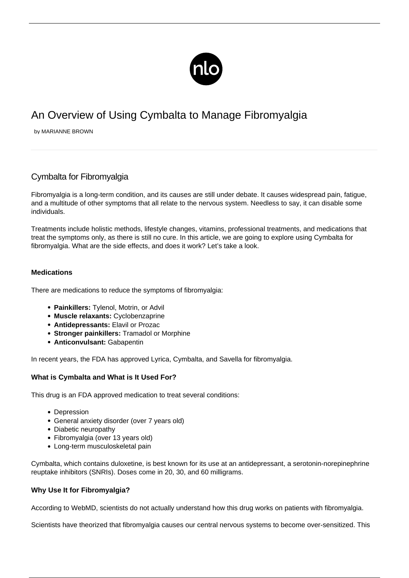

# An Overview of Using Cymbalta to Manage Fibromyalgia

by MARIANNE BROWN

# Cymbalta for Fibromyalgia

Fibromyalgia is a long-term condition, and its causes are still under debate. It causes widespread pain, [fatigue](/what-causes-extreme-fatigue/), and a multitude of other symptoms that all relate to the nervous system. Needless to say, it can disable some individuals.

Treatments include holistic methods, lifestyle changes, vitamins, professional treatments, and medications that treat the symptoms only, as there is still no cure. In this article, we are going to explore using Cymbalta for fibromyalgia. What are the side effects, and does it work? Let's take a look.

### **Medications**

There are medications to reduce the symptoms of fibromyalgia:

- **Painkillers:** Tylenol, Motrin, or Advil
- **Muscle relaxants:** Cyclobenzaprine
- **Antidepressants:** Elavil or Prozac
- **Stronger painkillers:** Tramadol or Morphine
- **Anticonvulsant:** [Gabapentin](/gabapentin-for-fibromyalgia/)

In recent years, the FDA has approved Lyrica, Cymbalta, and Savella for fibromyalgia.

#### **What is Cymbalta and What is It Used For?**

This drug is an FDA approved medication to treat several conditions:

- Depression
- General anxiety disorder (over 7 years old)
- Diabetic neuropathy
- Fibromyalgia (over 13 years old)
- Long-term musculoskeletal pain

Cymbalta, which contains [duloxetine](https://www.rxlist.com/consumer_duloxetine/drugs-condition.htm), is best known for its use at an antidepressant, a serotonin-norepinephrine reuptake inhibitors (SNRIs). Doses come in 20, 30, and 60 milligrams.

#### **Why Use It for Fibromyalgia?**

According to [WebMD,](https://www.webmd.com/fibromyalgia/guide/cymbalta-for-fibromyalgia-treatment#1) scientists do not actually understand how this drug works on patients with fibromyalgia.

Scientists have theorized that fibromyalgia causes our central nervous systems to become over-sensitized. This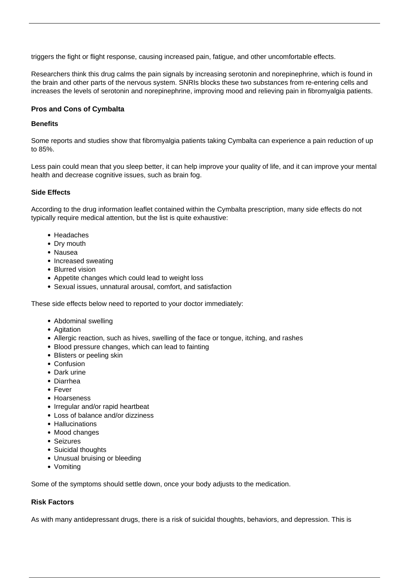triggers the fight or flight response, causing increased pain, fatigue, and other uncomfortable effects.

Researchers think this drug calms the pain signals by increasing serotonin and norepinephrine, which is found in the brain and other parts of the nervous system. SNRIs blocks these two substances from re-entering cells and increases the levels of serotonin and norepinephrine, improving mood and relieving pain in fibromyalgia patients.

## **Pros and Cons of Cymbalta**

#### **Benefits**

Some reports and studies show that fibromyalgia patients taking Cymbalta can experience a [pain reduction of up](https://www.medicalnewstoday.com/articles/cymbalta) [to 85%.](https://www.medicalnewstoday.com/articles/cymbalta)

Less pain could mean that you sleep better, it can help improve your quality of life, and it can improve your mental health and decrease cognitive issues, such as brain fog.

### **Side Effects**

According to the drug information leaflet contained within the Cymbalta prescription, many side effects do not typically require medical attention, but the list is quite exhaustive:

- Headaches
- Dry mouth
- Nausea
- Increased sweating
- Blurred vision
- Appetite changes which could lead to weight loss
- Sexual issues, unnatural arousal, comfort, and satisfaction

These side effects below need to reported to your doctor immediately:

- Abdominal swelling
- Agitation
- Allergic reaction, such as hives, swelling of the face or tongue, itching, and rashes
- Blood pressure changes, which can lead to fainting
- Blisters or peeling skin
- Confusion
- Dark urine
- Diarrhea
- Fever
- Hoarseness
- Irregular and/or rapid heartbeat
- Loss of balance and/or dizziness
- Hallucinations
- Mood changes
- Seizures
- Suicidal thoughts
- Unusual bruising or bleeding
- Vomiting

Some of the symptoms should settle down, once your body adjusts to the medication.

# **Risk Factors**

As with many antidepressant drugs, there is a risk of suicidal thoughts, behaviors, and depression. This is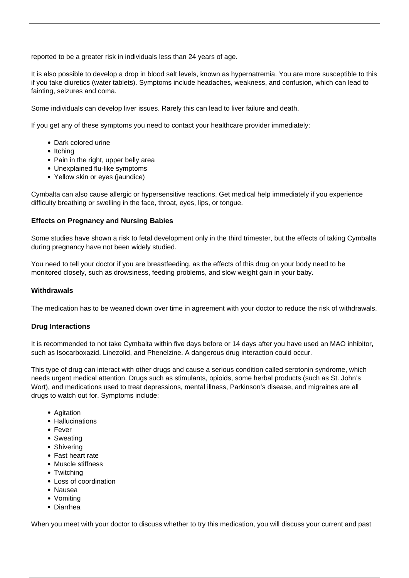reported to be a greater risk in individuals less than 24 years of age.

It is also possible to develop a drop in blood salt levels, known as hypernatremia. You are more susceptible to this if you take diuretics (water tablets). Symptoms include headaches, weakness, and confusion, which can lead to fainting, seizures and coma.

Some individuals can develop liver issues. Rarely this can lead to liver failure and death.

If you get any of these symptoms you need to contact your healthcare provider immediately:

- Dark colored urine
- $\bullet$  Itching
- Pain in the right, upper belly area
- Unexplained flu-like symptoms
- Yellow skin or eyes (jaundice)

Cymbalta can also cause allergic or hypersensitive reactions. Get medical help immediately if you experience difficulty breathing or swelling in the face, throat, eyes, lips, or tongue.

#### **Effects on Pregnancy and Nursing Babies**

Some studies have shown a [risk to fetal development](https://www.debilitatingdiseases.net/cymbalta-for-fibromyalgia/) only in the third trimester, but the effects of taking Cymbalta during pregnancy have not been widely studied.

You need to tell your doctor if you are breastfeeding, as the effects of this drug on your body need to be monitored closely, such as drowsiness, feeding problems, and slow weight gain in your baby.

#### **Withdrawals**

The medication has to be weaned down over time in agreement with your doctor to reduce the risk of withdrawals.

#### **Drug Interactions**

It is recommended to not take Cymbalta within five days before or 14 days after you have used an MAO inhibitor, such as Isocarboxazid, Linezolid, and Phenelzine. A dangerous drug interaction could occur.

This type of drug can interact with other drugs and cause a serious condition called serotonin syndrome, which needs urgent medical attention. Drugs such as stimulants, opioids, some herbal products (such as St. John's Wort), and medications used to treat depressions, mental illness, Parkinson's disease, and migraines are all drugs to watch out for. Symptoms include:

- Agitation
- Hallucinations
- Fever
- Sweating
- Shivering
- Fast heart rate
- Muscle stiffness
- Twitching
- Loss of coordination
- Nausea
- Vomiting
- Diarrhea

When you meet with your doctor to discuss whether to try this medication, you will discuss your current and past